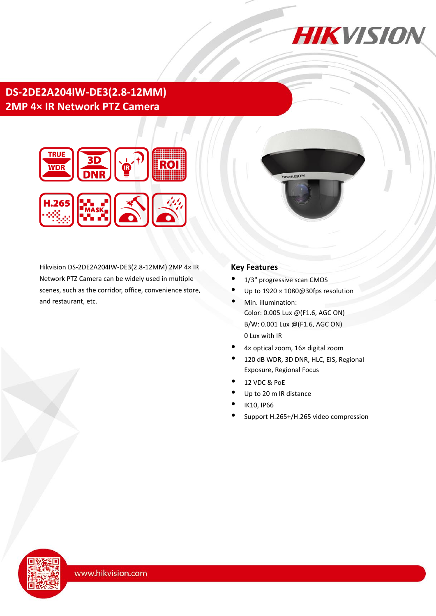

# **DS-2DE2A204IW-DE3(2.8-12MM) 2MP 4× IR Network PTZ Camera**



Hikvision DS-2DE2A204IW-DE3(2.8-12MM) 2MP 4× IR Network PTZ Camera can be widely used in multiple scenes, such as the corridor, office, convenience store, and restaurant, etc.

### **Key Features**

- 1/3" progressive scan CMOS
- Up to 1920 × 1080@30fps resolution

**IIKVISION** 

- Min. illumination: Color: 0.005 Lux @(F1.6, AGC ON) B/W: 0.001 Lux @(F1.6, AGC ON) 0 Lux with IR
- 4× optical zoom, 16× digital zoom
- 120 dB WDR, 3D DNR, HLC, EIS, Regional Exposure, Regional Focus
- 12 VDC & PoE
- Up to 20 m IR distance
- IK10, IP66
- Support H.265+/H.265 video compression

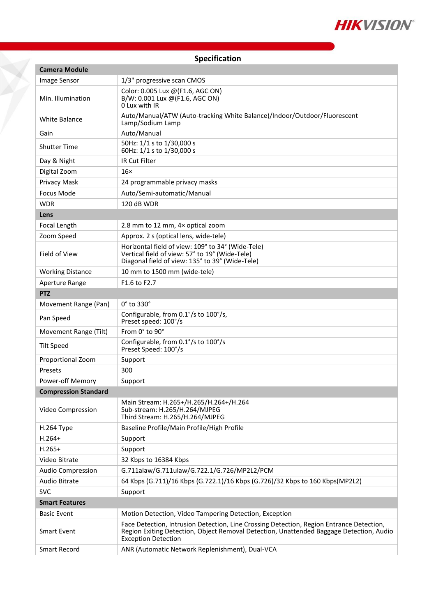

## **Specification**

| <b>Camera Module</b>        |                                                                                                                                                                                                                   |
|-----------------------------|-------------------------------------------------------------------------------------------------------------------------------------------------------------------------------------------------------------------|
| <b>Image Sensor</b>         | 1/3" progressive scan CMOS                                                                                                                                                                                        |
| Min. Illumination           | Color: 0.005 Lux @(F1.6, AGC ON)<br>B/W: 0.001 Lux @(F1.6, AGC ON)<br>O Lux with IR                                                                                                                               |
| White Balance               | Auto/Manual/ATW (Auto-tracking White Balance)/Indoor/Outdoor/Fluorescent<br>Lamp/Sodium Lamp                                                                                                                      |
| Gain                        | Auto/Manual                                                                                                                                                                                                       |
| <b>Shutter Time</b>         | 50Hz: 1/1 s to 1/30,000 s<br>60Hz: 1/1 s to 1/30,000 s                                                                                                                                                            |
| Day & Night                 | <b>IR Cut Filter</b>                                                                                                                                                                                              |
| Digital Zoom                | $16\times$                                                                                                                                                                                                        |
| Privacy Mask                | 24 programmable privacy masks                                                                                                                                                                                     |
| Focus Mode                  | Auto/Semi-automatic/Manual                                                                                                                                                                                        |
| <b>WDR</b>                  | 120 dB WDR                                                                                                                                                                                                        |
| Lens                        |                                                                                                                                                                                                                   |
| Focal Length                | 2.8 mm to 12 mm, 4x optical zoom                                                                                                                                                                                  |
| Zoom Speed                  | Approx. 2 s (optical lens, wide-tele)                                                                                                                                                                             |
| Field of View               | Horizontal field of view: 109° to 34° (Wide-Tele)<br>Vertical field of view: 57° to 19° (Wide-Tele)<br>Diagonal field of view: 135° to 39° (Wide-Tele)                                                            |
| <b>Working Distance</b>     | 10 mm to 1500 mm (wide-tele)                                                                                                                                                                                      |
| Aperture Range              | F <sub>1.6</sub> to F <sub>2.7</sub>                                                                                                                                                                              |
| <b>PTZ</b>                  |                                                                                                                                                                                                                   |
| Movement Range (Pan)        | $0^\circ$ to 330 $^\circ$                                                                                                                                                                                         |
| Pan Speed                   | Configurable, from 0.1°/s to 100°/s,<br>Preset speed: 100°/s                                                                                                                                                      |
| Movement Range (Tilt)       | From 0° to 90°                                                                                                                                                                                                    |
| <b>Tilt Speed</b>           | Configurable, from 0.1°/s to 100°/s<br>Preset Speed: 100°/s                                                                                                                                                       |
| Proportional Zoom           | Support                                                                                                                                                                                                           |
| Presets                     | 300                                                                                                                                                                                                               |
| Power-off Memory            | Support                                                                                                                                                                                                           |
| <b>Compression Standard</b> |                                                                                                                                                                                                                   |
| Video Compression           | Main Stream: H.265+/H.265/H.264+/H.264<br>Sub-stream: H.265/H.264/MJPEG<br>Third Stream: H.265/H.264/MJPEG                                                                                                        |
| H.264 Type                  | Baseline Profile/Main Profile/High Profile                                                                                                                                                                        |
| $H.264+$                    | Support                                                                                                                                                                                                           |
| $H.265+$                    | Support                                                                                                                                                                                                           |
| Video Bitrate               | 32 Kbps to 16384 Kbps                                                                                                                                                                                             |
| <b>Audio Compression</b>    | G.711alaw/G.711ulaw/G.722.1/G.726/MP2L2/PCM                                                                                                                                                                       |
| <b>Audio Bitrate</b>        | 64 Kbps (G.711)/16 Kbps (G.722.1)/16 Kbps (G.726)/32 Kbps to 160 Kbps(MP2L2)                                                                                                                                      |
| <b>SVC</b>                  | Support                                                                                                                                                                                                           |
| <b>Smart Features</b>       |                                                                                                                                                                                                                   |
| <b>Basic Event</b>          | Motion Detection, Video Tampering Detection, Exception                                                                                                                                                            |
| <b>Smart Event</b>          | Face Detection, Intrusion Detection, Line Crossing Detection, Region Entrance Detection,<br>Region Exiting Detection, Object Removal Detection, Unattended Baggage Detection, Audio<br><b>Exception Detection</b> |
| <b>Smart Record</b>         | ANR (Automatic Network Replenishment), Dual-VCA                                                                                                                                                                   |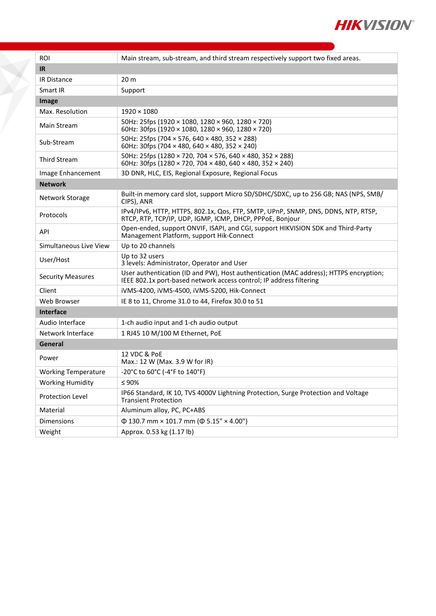

| <b>ROI</b>                 | Main stream, sub-stream, and third stream respectively support two fixed areas.                                                                              |  |
|----------------------------|--------------------------------------------------------------------------------------------------------------------------------------------------------------|--|
| IR.                        |                                                                                                                                                              |  |
| IR Distance                | 20 <sub>m</sub>                                                                                                                                              |  |
| Smart IR                   | Support                                                                                                                                                      |  |
| Image                      |                                                                                                                                                              |  |
| Max. Resolution            | $1920 \times 1080$                                                                                                                                           |  |
|                            | 50Hz: 25fps (1920 × 1080, 1280 × 960, 1280 × 720)                                                                                                            |  |
| Main Stream                | 60Hz: 30fps (1920 × 1080, 1280 × 960, 1280 × 720)                                                                                                            |  |
| Sub-Stream                 | 50Hz: 25fps (704 × 576, 640 × 480, 352 × 288)<br>60Hz: 30fps (704 $\times$ 480, 640 $\times$ 480, 352 $\times$ 240)                                          |  |
| <b>Third Stream</b>        | 50Hz: 25fps (1280 × 720, 704 × 576, 640 × 480, 352 × 288)<br>60Hz: 30fps (1280 × 720, 704 × 480, 640 × 480, 352 × 240)                                       |  |
| Image Enhancement          | 3D DNR, HLC, EIS, Regional Exposure, Regional Focus                                                                                                          |  |
| <b>Network</b>             |                                                                                                                                                              |  |
| Network Storage            | Built-in memory card slot, support Micro SD/SDHC/SDXC, up to 256 GB; NAS (NPS, SMB/<br>CIPS), ANR                                                            |  |
| Protocols                  | IPv4/IPv6, HTTP, HTTPS, 802.1x, Qos, FTP, SMTP, UPnP, SNMP, DNS, DDNS, NTP, RTSP,<br>RTCP, RTP, TCP/IP, UDP, IGMP, ICMP, DHCP, PPPoE, Bonjour                |  |
| API                        | Open-ended, support ONVIF, ISAPI, and CGI, support HIKVISION SDK and Third-Party<br>Management Platform, support Hik-Connect                                 |  |
| Simultaneous Live View     | Up to 20 channels                                                                                                                                            |  |
| User/Host                  | Up to 32 users<br>3 levels: Administrator, Operator and User                                                                                                 |  |
| <b>Security Measures</b>   | User authentication (ID and PW), Host authentication (MAC address); HTTPS encryption;<br>IEEE 802.1x port-based network access control; IP address filtering |  |
| Client                     | iVMS-4200, iVMS-4500, iVMS-5200, Hik-Connect                                                                                                                 |  |
| Web Browser                | IE 8 to 11, Chrome 31.0 to 44, Firefox 30.0 to 51                                                                                                            |  |
| <b>Interface</b>           |                                                                                                                                                              |  |
| Audio Interface            | 1-ch audio input and 1-ch audio output                                                                                                                       |  |
| Network Interface          | 1 RJ45 10 M/100 M Ethernet, PoE                                                                                                                              |  |
| General                    |                                                                                                                                                              |  |
| Power                      | 12 VDC & PoE<br>Max.: 12 W (Max. 3.9 W for IR)                                                                                                               |  |
| <b>Working Temperature</b> | -20°C to 60°C (-4°F to 140°F)                                                                                                                                |  |
| <b>Working Humidity</b>    | $\leq 90\%$                                                                                                                                                  |  |
| Protection Level           | IP66 Standard, IK 10, TVS 4000V Lightning Protection, Surge Protection and Voltage<br><b>Transient Protection</b>                                            |  |
| Material                   | Aluminum alloy, PC, PC+ABS                                                                                                                                   |  |
| Dimensions                 | $\Phi$ 130.7 mm × 101.7 mm ( $\Phi$ 5.15" × 4.00")                                                                                                           |  |
| Weight                     | Approx. 0.53 kg (1.17 lb)                                                                                                                                    |  |